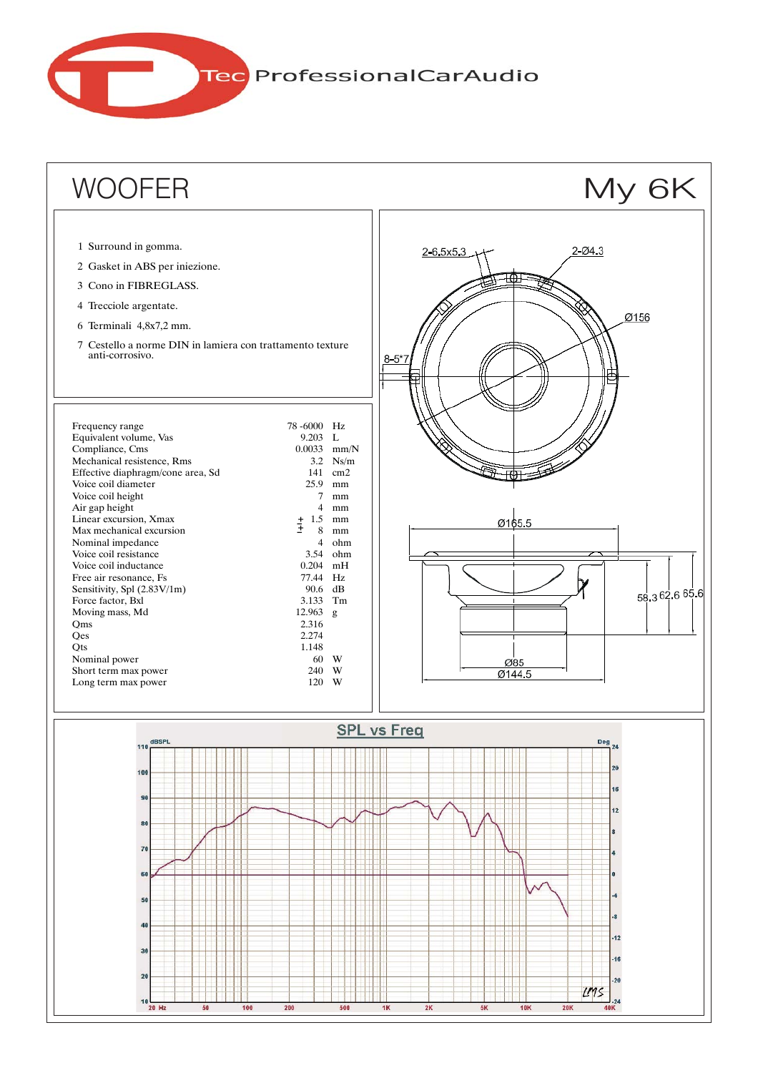